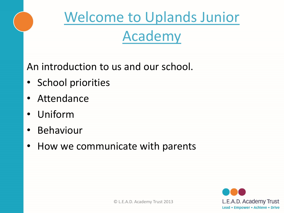

An introduction to us and our school.

- School priorities
- Attendance
- Uniform
- Behaviour
- How we communicate with parents

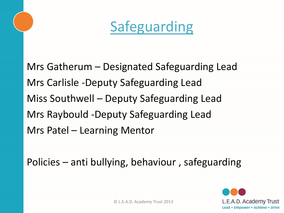

Mrs Gatherum – Designated Safeguarding Lead Mrs Carlisle -Deputy Safeguarding Lead Miss Southwell – Deputy Safeguarding Lead Mrs Raybould -Deputy Safeguarding Lead Mrs Patel – Learning Mentor

Policies – anti bullying, behaviour , safeguarding



© L.E.A.D. Academy Trust 2013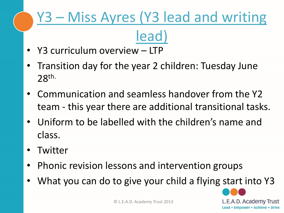# Y3 – Miss Ayres (Y3 lead and writing lead)

- Y3 curriculum overview LTP
- Transition day for the year 2 children: Tuesday June 28th.
- Communication and seamless handover from the Y2 team - this year there are additional transitional tasks.
- Uniform to be labelled with the children's name and class.
- Twitter
- Phonic revision lessons and intervention groups
- What you can do to give your child a flying start into Y3

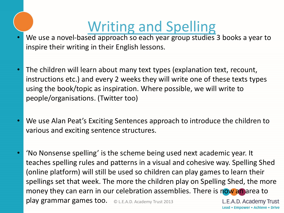# Writing and Spelling

- We use a novel-based approach so each year group studies 3 books a year to inspire their writing in their English lessons.
- The children will learn about many text types (explanation text, recount, instructions etc.) and every 2 weeks they will write one of these texts types using the book/topic as inspiration. Where possible, we will write to people/organisations. (Twitter too)
- We use Alan Peat's Exciting Sentences approach to introduce the children to various and exciting sentence structures.
- 'No Nonsense spelling' is the scheme being used next academic year. It teaches spelling rules and patterns in a visual and cohesive way. Spelling Shed (online platform) will still be used so children can play games to learn their spellings set that week. The more the children play on Spelling Shed, the more money they can earn in our celebration assemblies. There is now an area to play grammar games too. © L.E.A.D. Academy Trust 2013 L.E.A.D. Academy Trust

Lead • Empower • Achieve • Drive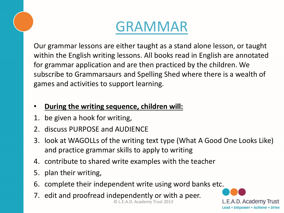### GRAMMAR

Our grammar lessons are either taught as a stand alone lesson, or taught within the English writing lessons. All books read in English are annotated for grammar application and are then practiced by the children. We subscribe to Grammarsaurs and Spelling Shed where there is a wealth of games and activities to support learning.

#### • **During the writing sequence, children will:**

- 1. be given a hook for writing,
- 2. discuss PURPOSE and AUDIENCE
- 3. look at WAGOLLs of the writing text type (What A Good One Looks Like) and practice grammar skills to apply to writing
- 4. contribute to shared write examples with the teacher
- 5. plan their writing,
- 6. complete their independent write using word banks etc.
- © L.E.A.D. Academy Trust 2013 7. edit and proofread independently or with a peer.

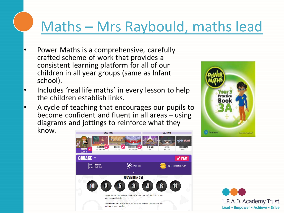# Maths – Mrs Raybould, maths lead

- Power Maths is a comprehensive, carefully crafted scheme of work that provides a consistent learning platform for all of our children in all year groups (same as Infant school).
- Includes 'real life maths' in every lesson to help the children establish links.
- A cycle of teaching that encourages our pupils to become confident and fluent in all areas  $-$  using diagrams and jottings to reinforce what they know.





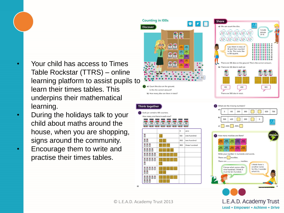- Your child has access to Times Table Rockstar (TTRS) – online learning platform to assist pupils to learn their times tables. This underpins their mathematical learning.
- During the holidays talk to your child about maths around the house, when you are shopping, signs around the community.
- Encourage them to write and practise their times tables.



 $\overline{10}$ 

Lead • Empower • Achieve • Drive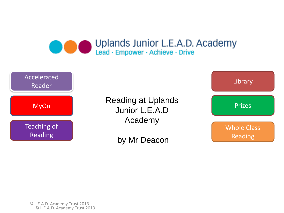#### Uplands Junior L.E.A.D. Academy Lead · Empower · Achieve · Drive



Reading at Uplands Junior L.E.A.D Academy

by Mr Deacon



© L.E.A.D. Academy Trust 2013 © L.E.A.D. Academy Trust 2013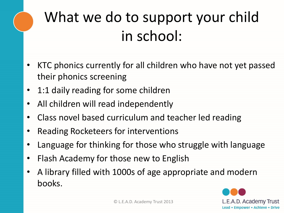# What we do to support your child in school:

- KTC phonics currently for all children who have not yet passed their phonics screening
- 1:1 daily reading for some children
- All children will read independently
- Class novel based curriculum and teacher led reading
- Reading Rocketeers for interventions
- Language for thinking for those who struggle with language
- Flash Academy for those new to English
- A library filled with 1000s of age appropriate and modern books.

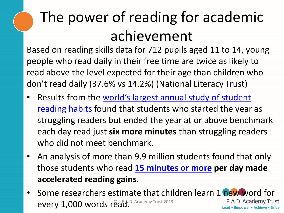# The power of reading for academic achievement

Based on reading skills data for 712 pupils aged 11 to 14, young people who read daily in their free time are twice as likely to read above the level expected for their age than children who don't read daily (37.6% vs 14.2%) (National Literacy Trust)

- Results from the world's largest annual study of student reading habits [found that students who started the year](https://www.renaissance.com/wkar-report/?utm_source=school-leaders-now&utm_medium=featured-article&utm_campaign=guide-to-reading-growth) as struggling readers but ended the year at or above benchmark each day read just **six more minutes** than struggling readers who did not meet benchmark.
- An analysis of more than 9.9 million students found that only those students who read **[15 minutes or more](https://www.renaissance.com/2018/01/23/blog-magic-15-minutes-reading-practice-reading-growth/?utm_source=school-leaders-now&utm_medium=featured-article&utm_campaign=guide-to-reading-growth) per day made accelerated reading gains**.
- Some researchers estimate that children learn 1 new word for L.E.A.D. Academy Trust every  $1,000$  words read.D. Academy Trust 2013 Lead • Empower • Achieve • Drive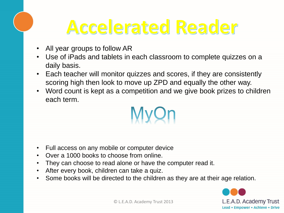# Accelerated Reader

- All year groups to follow AR
- Use of iPads and tablets in each classroom to complete quizzes on a daily basis.
- Each teacher will monitor quizzes and scores, if they are consistently scoring high then look to move up ZPD and equally the other way.
- Word count is kept as a competition and we give book prizes to children each term.



- Full access on any mobile or computer device
- Over a 1000 books to choose from online.
- They can choose to read alone or have the computer read it.
- After every book, children can take a quiz.
- Some books will be directed to the children as they are at their age relation.

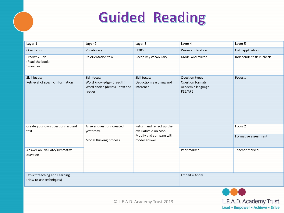# **Guided Reading**

| Layer 1                                        | Layer 2                                                              | Layer 3                                         | Layer 4                                                 | Layer 5                  |
|------------------------------------------------|----------------------------------------------------------------------|-------------------------------------------------|---------------------------------------------------------|--------------------------|
| Orientation                                    | Vocabulary                                                           | <b>HORS</b>                                     | Warm application                                        | Cold application         |
| Predict = Title<br>(Read the book)<br>5minutes | Re orientation task                                                  | Recap key vocabulary                            | Model and mirror                                        | Independent skills check |
| Skill focus:                                   | Skill focus:                                                         | Skill focus:                                    | Question types                                          | Focus 1                  |
| Retrieval of specific information              | Word knowledge (Breadth)<br>Word choice (depth) - text and<br>reader | Deduction reasoning and<br>inference            | <b>Question formats</b><br>Academic language<br>PEE/APE |                          |
| Create your own questions around               | Answer questions created                                             | Return and reflect up the                       |                                                         | Focus <sub>2</sub>       |
| text                                           | yesterday.                                                           | evaluative q on Mon.<br>Modify and compare with |                                                         |                          |
|                                                | Model thinking process                                               | model answer.                                   |                                                         | Formative assessment     |
| Answer an Evaluate/summative<br>question       |                                                                      |                                                 | Peer marked                                             | Teacher marked           |
| <b>Explicit teaching and Learning</b>          |                                                                      |                                                 | Embed = Apply                                           |                          |
| (How to use techniques)                        |                                                                      |                                                 |                                                         |                          |



© L.E.A.D. Academy Trust 2013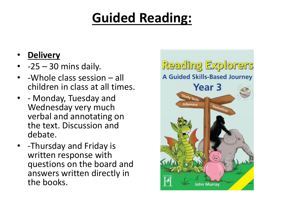### **Guided Reading:**

- **Delivery**
- $\cdot$  -25 30 mins daily.
- -Whole class session all children in class at all times.
- - Monday, Tuesday and Wednesday very much verbal and annotating on the text. Discussion and debate.
- -Thursday and Friday is written response with questions on the board and answers written directly in the books.

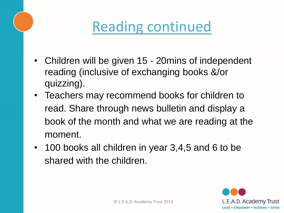# Reading continued

- Children will be given 15 20mins of independent reading (inclusive of exchanging books &/or quizzing).
- Teachers may recommend books for children to read. Share through news bulletin and display a book of the month and what we are reading at the moment.
- 100 books all children in year 3,4,5 and 6 to be shared with the children.

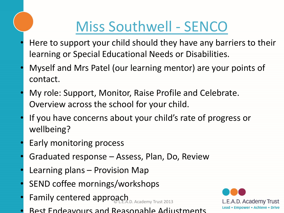# Miss Southwell - SENCO

- Here to support your child should they have any barriers to their learning or Special Educational Needs or Disabilities.
- Myself and Mrs Patel (our learning mentor) are your points of contact.
- My role: Support, Monitor, Raise Profile and Celebrate. Overview across the school for your child.
- If you have concerns about your child's rate of progress or wellbeing?
- Early monitoring process
- Graduated response Assess, Plan, Do, Review
- Learning plans Provision Map
- SEND coffee mornings/workshops
- · Family centered approach
- Best Endeavours and Reasonable Adjustments